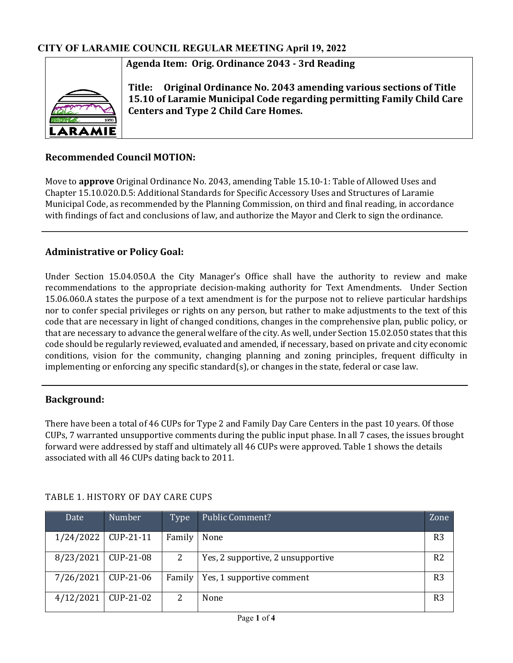# **Agenda Item: Orig. Ordinance 2043 - 3rd Reading**



**Title: Original Ordinance No. 2043 amending various sections of Title 15.10 of Laramie Municipal Code regarding permitting Family Child Care Centers and Type 2 Child Care Homes.**

# **Recommended Council MOTION:**

Move to **approve** Original Ordinance No. 2043, amending Table 15.10-1: Table of Allowed Uses and Chapter 15.10.020.D.5: Additional Standards for Specific Accessory Uses and Structures of Laramie Municipal Code, as recommended by the Planning Commission, on third and final reading, in accordance with findings of fact and conclusions of law, and authorize the Mayor and Clerk to sign the ordinance.

## **Administrative or Policy Goal:**

Under Section 15.04.050.A the City Manager's Office shall have the authority to review and make recommendations to the appropriate decision-making authority for Text Amendments. Under Section 15.06.060.A states the purpose of a text amendment is for the purpose not to relieve particular hardships nor to confer special privileges or rights on any person, but rather to make adjustments to the text of this code that are necessary in light of changed conditions, changes in the comprehensive plan, public policy, or that are necessary to advance the general welfare of the city. As well, under Section 15.02.050 states that this code should be regularly reviewed, evaluated and amended, if necessary, based on private and city economic conditions, vision for the community, changing planning and zoning principles, frequent difficulty in implementing or enforcing any specific standard(s), or changes in the state, federal or case law.

## **Background:**

There have been a total of 46 CUPs for Type 2 and Family Day Care Centers in the past 10 years. Of those CUPs, 7 warranted unsupportive comments during the public input phase. In all 7 cases, the issues brought forward were addressed by staff and ultimately all 46 CUPs were approved. Table 1 shows the details associated with all 46 CUPs dating back to 2011.

| Date                  | Number                | Type   | <b>Public Comment?</b>            | Zone           |
|-----------------------|-----------------------|--------|-----------------------------------|----------------|
|                       | $1/24/2022$ CUP-21-11 | Family | None                              | R <sub>3</sub> |
| 8/23/2021   CUP-21-08 |                       | 2      | Yes, 2 supportive, 2 unsupportive | R <sub>2</sub> |
|                       | $7/26/2021$ CUP-21-06 | Family | Yes, 1 supportive comment         | R <sub>3</sub> |
| 4/12/2021             | CUP-21-02             | 2      | None                              | R <sub>3</sub> |

## TABLE 1. HISTORY OF DAY CARE CUPS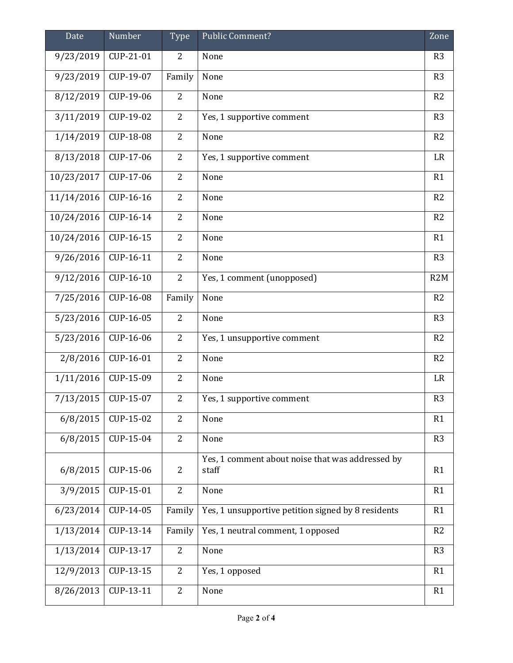| Date       | Number                  | Type           | Public Comment?                                           | Zone           |
|------------|-------------------------|----------------|-----------------------------------------------------------|----------------|
| 9/23/2019  | CUP-21-01               | 2              | None                                                      | R <sub>3</sub> |
| 9/23/2019  | CUP-19-07               | Family         | None                                                      | R <sub>3</sub> |
| 8/12/2019  | CUP-19-06               | $\overline{2}$ | None                                                      | R <sub>2</sub> |
| 3/11/2019  | CUP-19-02               | $\overline{2}$ | Yes, 1 supportive comment                                 | R <sub>3</sub> |
| 1/14/2019  | CUP-18-08               | $\overline{2}$ | None                                                      | R2             |
| 8/13/2018  | CUP-17-06               | $\overline{2}$ | Yes, 1 supportive comment                                 | LR             |
| 10/23/2017 | CUP-17-06               | $\overline{2}$ | None                                                      | R1             |
| 11/14/2016 | CUP-16-16               | $\overline{2}$ | None                                                      | R2             |
| 10/24/2016 | CUP-16-14               | $\overline{2}$ | None                                                      | R2             |
| 10/24/2016 | CUP-16-15               | $\overline{2}$ | None                                                      | R1             |
| 9/26/2016  | CUP-16-11               | $\overline{2}$ | None                                                      | R <sub>3</sub> |
| 9/12/2016  | CUP-16-10               | $\overline{2}$ | Yes, 1 comment (unopposed)                                | R2M            |
| 7/25/2016  | CUP-16-08               | Family         | None                                                      | R <sub>2</sub> |
| 5/23/2016  | $\overline{C}$ UP-16-05 | $\overline{2}$ | None                                                      | R <sub>3</sub> |
| 5/23/2016  | CUP-16-06               | $\overline{2}$ | Yes, 1 unsupportive comment                               | R2             |
| 2/8/2016   | CUP-16-01               | $\overline{2}$ | None                                                      | R2             |
| 1/11/2016  | CUP-15-09               | $\overline{2}$ | None                                                      | LR             |
| 7/13/2015  | CUP-15-07               | $\overline{2}$ | Yes, 1 supportive comment                                 | R <sub>3</sub> |
| 6/8/2015   | CUP-15-02               | $\overline{2}$ | None                                                      | R1             |
| 6/8/2015   | CUP-15-04               | $\overline{2}$ | None                                                      | R <sub>3</sub> |
| 6/8/2015   | CUP-15-06               | $\overline{2}$ | Yes, 1 comment about noise that was addressed by<br>staff | R1             |
| 3/9/2015   | CUP-15-01               | $\overline{2}$ | None                                                      | R1             |
| 6/23/2014  | CUP-14-05               | Family         | Yes, 1 unsupportive petition signed by 8 residents        | R1             |
| 1/13/2014  | CUP-13-14               | Family         | Yes, 1 neutral comment, 1 opposed                         | R2             |
|            |                         |                |                                                           |                |
| 1/13/2014  | CUP-13-17               | $\overline{2}$ | None                                                      | R <sub>3</sub> |
| 12/9/2013  | CUP-13-15               | $\overline{2}$ | Yes, 1 opposed                                            | R1             |
| 8/26/2013  | CUP-13-11               | $\overline{2}$ | None                                                      | R1             |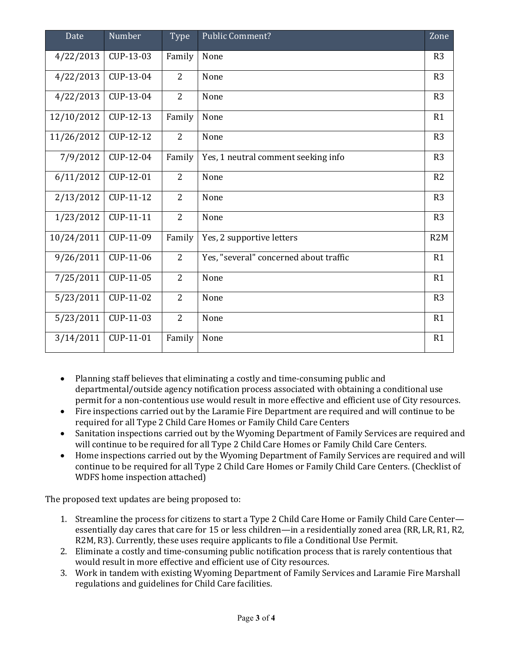| Date       | Number    | Type           | <b>Public Comment?</b>                 | Zone           |
|------------|-----------|----------------|----------------------------------------|----------------|
| 4/22/2013  | CUP-13-03 | Family         | None                                   | R <sub>3</sub> |
| 4/22/2013  | CUP-13-04 | $\overline{2}$ | None                                   | R <sub>3</sub> |
| 4/22/2013  | CUP-13-04 | $\overline{2}$ | None                                   | R <sub>3</sub> |
| 12/10/2012 | CUP-12-13 | Family         | None                                   | R1             |
| 11/26/2012 | CUP-12-12 | $\overline{2}$ | None                                   | R <sub>3</sub> |
| 7/9/2012   | CUP-12-04 | Family         | Yes, 1 neutral comment seeking info    | R3             |
| 6/11/2012  | CUP-12-01 | 2              | None                                   | R <sub>2</sub> |
| 2/13/2012  | CUP-11-12 | 2              | None                                   | R <sub>3</sub> |
| 1/23/2012  | CUP-11-11 | $\overline{2}$ | None                                   | R3             |
| 10/24/2011 | CUP-11-09 | Family         | Yes, 2 supportive letters              | R2M            |
| 9/26/2011  | CUP-11-06 | $\overline{2}$ | Yes, "several" concerned about traffic | R1             |
| 7/25/2011  | CUP-11-05 | $\overline{2}$ | None                                   | R1             |
| 5/23/2011  | CUP-11-02 | 2              | None                                   | R <sub>3</sub> |
| 5/23/2011  | CUP-11-03 | $\overline{2}$ | None                                   | R1             |
| 3/14/2011  | CUP-11-01 | Family         | None                                   | R1             |

- Planning staff believes that eliminating a costly and time-consuming public and departmental/outside agency notification process associated with obtaining a conditional use permit for a non-contentious use would result in more effective and efficient use of City resources.
- Fire inspections carried out by the Laramie Fire Department are required and will continue to be required for all Type 2 Child Care Homes or Family Child Care Centers
- Sanitation inspections carried out by the Wyoming Department of Family Services are required and will continue to be required for all Type 2 Child Care Homes or Family Child Care Centers.
- Home inspections carried out by the Wyoming Department of Family Services are required and will continue to be required for all Type 2 Child Care Homes or Family Child Care Centers. (Checklist of WDFS home inspection attached)

The proposed text updates are being proposed to:

- 1. Streamline the process for citizens to start a Type 2 Child Care Home or Family Child Care Center essentially day cares that care for 15 or less children—in a residentially zoned area (RR, LR, R1, R2, R2M, R3). Currently, these uses require applicants to file a Conditional Use Permit.
- 2. Eliminate a costly and time-consuming public notification process that is rarely contentious that would result in more effective and efficient use of City resources.
- 3. Work in tandem with existing Wyoming Department of Family Services and Laramie Fire Marshall regulations and guidelines for Child Care facilities.